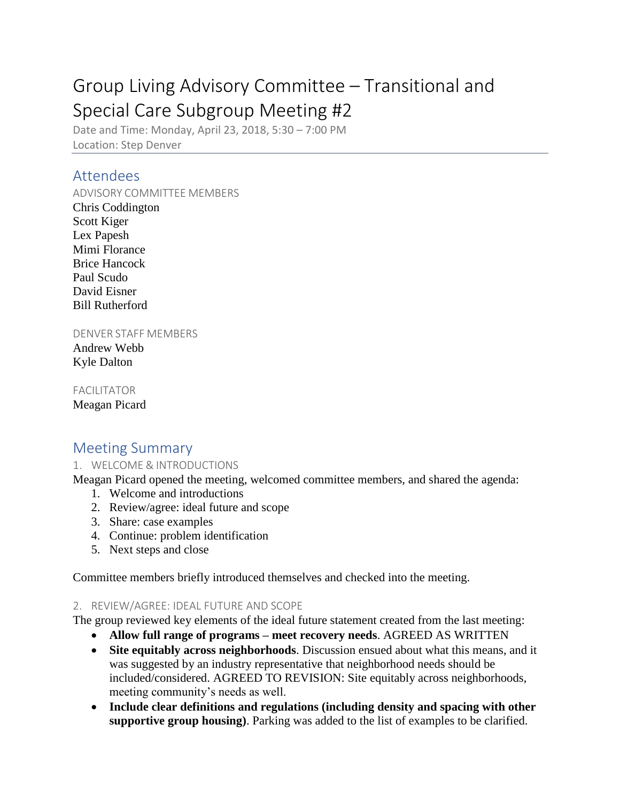# Group Living Advisory Committee – Transitional and Special Care Subgroup Meeting #2

Date and Time: Monday, April 23, 2018, 5:30 – 7:00 PM Location: Step Denver

## Attendees

#### ADVISORY COMMITTEE MEMBERS

Chris Coddington Scott Kiger Lex Papesh Mimi Florance Brice Hancock Paul Scudo David Eisner Bill Rutherford

#### DENVER STAFF MEMBERS

Andrew Webb Kyle Dalton

FACILITATOR Meagan Picard

## Meeting Summary

#### 1. WELCOME & INTRODUCTIONS

Meagan Picard opened the meeting, welcomed committee members, and shared the agenda:

- 1. Welcome and introductions
- 2. Review/agree: ideal future and scope
- 3. Share: case examples
- 4. Continue: problem identification
- 5. Next steps and close

Committee members briefly introduced themselves and checked into the meeting.

#### 2. REVIEW/AGREE: IDEAL FUTURE AND SCOPE

The group reviewed key elements of the ideal future statement created from the last meeting:

- **Allow full range of programs – meet recovery needs**. AGREED AS WRITTEN
- **Site equitably across neighborhoods**. Discussion ensued about what this means, and it was suggested by an industry representative that neighborhood needs should be included/considered. AGREED TO REVISION: Site equitably across neighborhoods, meeting community's needs as well.
- **Include clear definitions and regulations (including density and spacing with other supportive group housing)**. Parking was added to the list of examples to be clarified.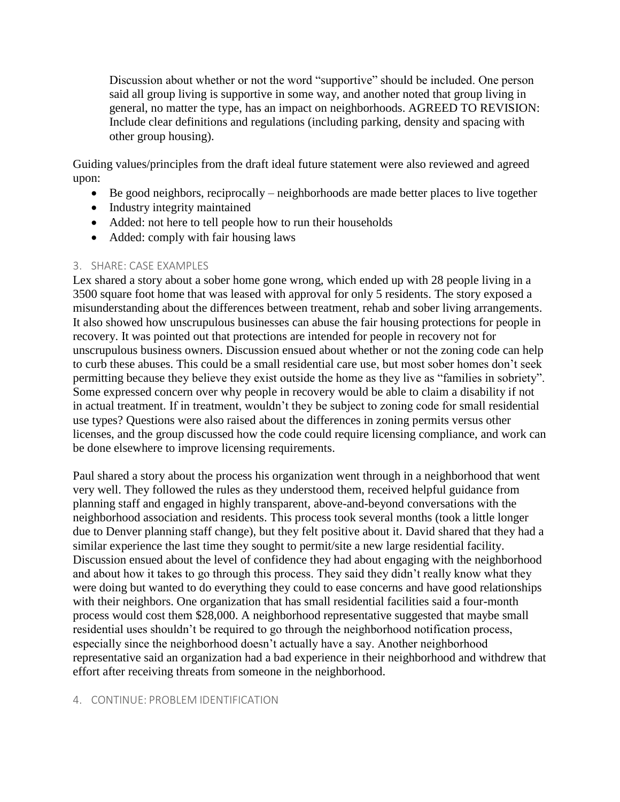Discussion about whether or not the word "supportive" should be included. One person said all group living is supportive in some way, and another noted that group living in general, no matter the type, has an impact on neighborhoods. AGREED TO REVISION: Include clear definitions and regulations (including parking, density and spacing with other group housing).

Guiding values/principles from the draft ideal future statement were also reviewed and agreed upon:

- Be good neighbors, reciprocally neighborhoods are made better places to live together
- Industry integrity maintained
- Added: not here to tell people how to run their households
- Added: comply with fair housing laws

#### 3. SHARE: CASE EXAMPLES

Lex shared a story about a sober home gone wrong, which ended up with 28 people living in a 3500 square foot home that was leased with approval for only 5 residents. The story exposed a misunderstanding about the differences between treatment, rehab and sober living arrangements. It also showed how unscrupulous businesses can abuse the fair housing protections for people in recovery. It was pointed out that protections are intended for people in recovery not for unscrupulous business owners. Discussion ensued about whether or not the zoning code can help to curb these abuses. This could be a small residential care use, but most sober homes don't seek permitting because they believe they exist outside the home as they live as "families in sobriety". Some expressed concern over why people in recovery would be able to claim a disability if not in actual treatment. If in treatment, wouldn't they be subject to zoning code for small residential use types? Questions were also raised about the differences in zoning permits versus other licenses, and the group discussed how the code could require licensing compliance, and work can be done elsewhere to improve licensing requirements.

Paul shared a story about the process his organization went through in a neighborhood that went very well. They followed the rules as they understood them, received helpful guidance from planning staff and engaged in highly transparent, above-and-beyond conversations with the neighborhood association and residents. This process took several months (took a little longer due to Denver planning staff change), but they felt positive about it. David shared that they had a similar experience the last time they sought to permit/site a new large residential facility. Discussion ensued about the level of confidence they had about engaging with the neighborhood and about how it takes to go through this process. They said they didn't really know what they were doing but wanted to do everything they could to ease concerns and have good relationships with their neighbors. One organization that has small residential facilities said a four-month process would cost them \$28,000. A neighborhood representative suggested that maybe small residential uses shouldn't be required to go through the neighborhood notification process, especially since the neighborhood doesn't actually have a say. Another neighborhood representative said an organization had a bad experience in their neighborhood and withdrew that effort after receiving threats from someone in the neighborhood.

#### 4. CONTINUE: PROBLEM IDENTIFICATION